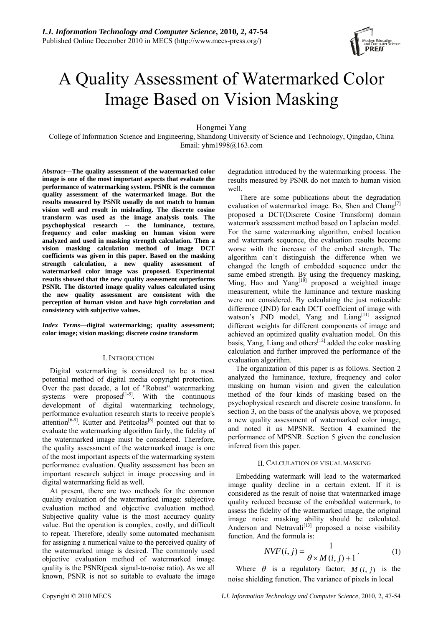

# A Quality Assessment of Watermarked Color Image Based on Vision Masking

Hongmei Yang

College of Information Science and Engineering, Shandong University of Science and Technology, Qingdao, China Email: yhm1998@163.com

*Abstract***—The quality assessment of the watermarked color image is one of the most important aspects that evaluate the performance of watermarking system. PSNR is the common quality assessment of the watermarked image. But the results measured by PSNR usually do not match to human vision well and result in misleading. The discrete cosine transform was used as the image analysis tools. The psychophysical research -- the luminance, texture, frequency and color masking on human vision were analyzed and used in masking strength calculation. Then a vision masking calculation method of image DCT coefficients was given in this paper. Based on the masking strength calculation, a new quality assessment of watermarked color image was proposed. Experimental results showed that the new quality assessment outperforms PSNR. The distorted image quality values calculated using the new quality assessment are consistent with the perception of human vision and have high correlation and consistency with subjective values.** 

*Index Terms***—digital watermarking; quality assessment; color image; vision masking; discrete cosine transform** 

## I. INTRODUCTION

Digital watermarking is considered to be a most potential method of digital media copyright protection. Over the past decade, a lot of "Robust" watermarking systems were proposed $\begin{bmatrix} 1 & -5 \end{bmatrix}$ . With the continuous development of digital watermarking technology, performance evaluation research starts to receive people's attention<sup>[6-9]</sup>. Kutter and Petitcolas<sup>[6]</sup> pointed out that to evaluate the watermarking algorithm fairly, the fidelity of the watermarked image must be considered. Therefore, the quality assessment of the watermarked image is one of the most important aspects of the watermarking system performance evaluation. Quality assessment has been an important research subject in image processing and in digital watermarking field as well.

At present, there are two methods for the common quality evaluation of the watermarked image: subjective evaluation method and objective evaluation method. Subjective quality value is the most accuracy quality value. But the operation is complex, costly, and difficult to repeat. Therefore, ideally some automated mechanism for assigning a numerical value to the perceived quality of the watermarked image is desired. The commonly used objective evaluation method of watermarked image quality is the PSNR(peak signal-to-noise ratio). As we all known, PSNR is not so suitable to evaluate the image degradation introduced by the watermarking process. The results measured by PSNR do not match to human vision well.

 There are some publications about the degradation evaluation of watermarked image. Bo, Shen and Chang<sup>[7]</sup> proposed a DCT(Discrete Cosine Transform) domain watermark assessment method based on Laplacian model. For the same watermarking algorithm, embed location and watermark sequence, the evaluation results become worse with the increase of the embed strength. The algorithm can't distinguish the difference when we changed the length of embedded sequence under the same embed strength. By using the frequency masking, Ming, Hao and  $Yang^{[10]}$  proposed a weighted image measurement, while the luminance and texture masking were not considered. By calculating the just noticeable difference (JND) for each DCT coefficient of image with watson's JND model, Yang and Liang<sup>[11]</sup> assigned different weights for different components of image and achieved an optimized quality evaluation model. On this basis, Yang, Liang and others<sup>[12]</sup> added the color masking calculation and further improved the performance of the evaluation algorithm.

The organization of this paper is as follows. Section 2 analyzed the luminance, texture, frequency and color masking on human vision and given the calculation method of the four kinds of masking based on the psychophysical research and discrete cosine transform. In section 3, on the basis of the analysis above, we proposed a new quality assessment of watermarked color image, and noted it as MPSNR. Section 4 examined the performance of MPSNR. Section 5 given the conclusion inferred from this paper.

## II. CALCULATION OF VISUAL MASKING

Embedding watermark will lead to the watermarked image quality decline in a certain extent. If it is considered as the result of noise that watermarked image quality reduced because of the embedded watermark, to assess the fidelity of the watermarked image, the original image noise masking ability should be calculated. Anderson and Netravali<sup>[13]</sup> proposed a noise visibility function. And the formula is:

$$
NVF(i, j) = \frac{1}{\theta \times M(i, j) + 1}.
$$
 (1)

Where  $\theta$  is a regulatory factor;  $M(i, j)$  is the noise shielding function. The variance of pixels in local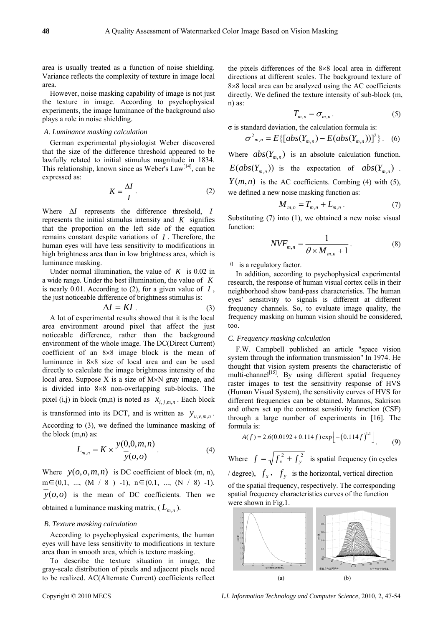area is usually treated as a function of noise shielding. Variance reflects the complexity of texture in image local area.

However, noise masking capability of image is not just the texture in image. According to psychophysical experiments, the image luminance of the background also plays a role in noise shielding.

# *A. Luminance masking calculation*

German experimental physiologist Weber discovered that the size of the difference threshold appeared to be lawfully related to initial stimulus magnitude in 1834. This relationship, known since as Weber's Law<sup>[14]</sup>, can be expressed as:

$$
K = \frac{\Delta I}{I}.\tag{2}
$$

Where Δ*I* represents the difference threshold, *I* represents the initial stimulus intensity and *K* signifies that the proportion on the left side of the equation remains constant despite variations of *I* . Therefore, the human eyes will have less sensitivity to modifications in high brightness area than in low brightness area, which is luminance masking.

Under normal illumination, the value of  $K$  is 0.02 in a wide range. Under the best illumination, the value of *K* is nearly 0.01. According to (2), for a given value of *I* , the just noticeable difference of brightness stimulus is:

$$
\Delta I = K I \tag{3}
$$

A lot of experimental results showed that it is the local area environment around pixel that affect the just noticeable difference, rather than the background environment of the whole image. The DC(Direct Current) coefficient of an  $8\times8$  image block is the mean of luminance in 8×8 size of local area and can be used directly to calculate the image brightness intensity of the local area. Suppose  $X$  is a size of  $M \times N$  gray image, and is divided into 8×8 non-overlapping sub-blocks. The pixel (i,j) in block (m,n) is noted as  $x_{i,j,m,n}$ . Each block

is transformed into its DCT, and is written as  $y_{u,v,m,n}$ . According to (3), we defined the luminance masking of the block (m,n) as:

$$
L_{m,n} = K \times \frac{y(0,0,m,n)}{\overline{y}(0,0)}.
$$
 (4)

Where  $y(o, o, m, n)$  is DC coefficient of block (m, n),  $m \in (0,1, ..., (M / 8) -1), n \in (0,1, ..., (N / 8) -1).$  $y(0,0)$  is the mean of DC coefficients. Then we obtained a luminance masking matrix,  $(L_{m,n})$ .

# *B. Texture masking calculation*

According to psychophysical experiments, the human eyes will have less sensitivity to modifications in texture area than in smooth area, which is texture masking.

To describe the texture situation in image, the gray-scale distribution of pixels and adjacent pixels need to be realized. AC(Alternate Current) coefficients reflect

the pixels differences of the 8×8 local area in different directions at different scales. The background texture of 8×8 local area can be analyzed using the AC coefficients directly. We defined the texture intensity of sub-block (m, n) as:

$$
T_{m,n} = \sigma_{m,n} \,. \tag{5}
$$

σ is standard deviation, the calculation formula is:

$$
\sigma_{m,n}^2 = E\{[abs(Y_{m,n}) - E(abs(Y_{m,n}))]^2\}.
$$
 (6)

Where  $abs(Y_{m,n})$  is an absolute calculation function.  $E(abs(Y_{m,n}))$  is the expectation of  $abs(Y_{m,n})$ .  $Y(m, n)$  is the AC coefficients. Combing (4) with (5), we defined a new noise masking function as:

$$
M_{m,n} = T_{m,n} + L_{m,n} \,. \tag{7}
$$

Substituting (7) into (1), we obtained a new noise visual function:

$$
NVF_{m,n} = \frac{1}{\theta \times M_{m,n} + 1}.
$$
 (8)

 $\theta$  is a regulatory factor.

In addition, according to psychophysical experimental research, the response of human visual cortex cells in their neighborhood show band-pass characteristics. The human eyes' sensitivity to signals is different at different frequency channels. So, to evaluate image quality, the frequency masking on human vision should be considered, too.

## *C. Frequency masking calculation*

F.W. Campbell published an article "space vision system through the information transmission" In 1974. He thought that vision system presents the characteristic of multi-channel<sup>[15]</sup>. By using different spatial frequency raster images to test the sensitivity response of HVS (Human Visual System), the sensitivity curves of HVS for different frequencies can be obtained. Mannos, Sakrison and others set up the contrast sensitivity function (CSF) through a large number of experiments in [16]. The formula is:

$$
A(f) = 2.6(0.0192 + 0.114f) \exp\left[-(0.114f)^{1.1}\right].
$$
 (9)

Where  $f = \sqrt{f_x^2 + f_y^2}$  is spatial frequency (in cycles *l* degree),  $f_x$ ,  $f_y$  is the horizontal, vertical direction of the spatial frequency, respectively. The corresponding spatial frequency characteristics curves of the function were shown in Fig.1.



Copyright © 2010 MECS *I.J. Information Technology and Computer Science*, 2010, 2, 47-54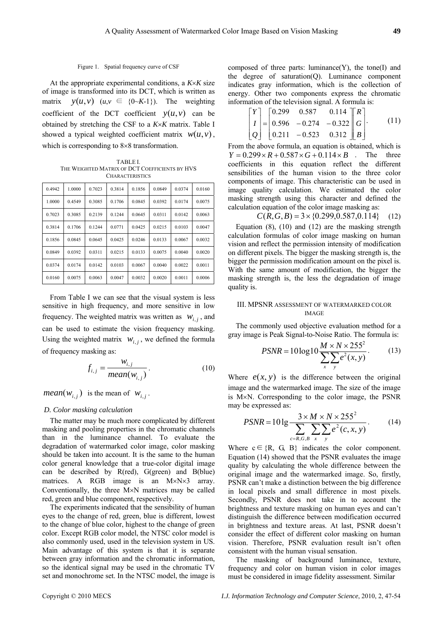At the appropriate experimental conditions, a *K*×*K* size of image is transformed into its DCT, which is written as matrix  $y(u, v)$  ( $u, v \in \{0 \sim K-1\}$ ). The weighting coefficient of the DCT coefficient  $y(u, v)$  can be obtained by stretching the CSF to a *K*×*K* matrix. Table I showed a typical weighted coefficient matrix  $w(u, v)$ , which is corresponding to 8×8 transformation.

TABLE I. THE WEIGHTED MATRIX OF DCT COEFFICIENTS BY HVS **CHARACTERISTICS** 

| 0.4942 | 1.0000 | 0.7023    | 0.3814 | 0.1856    | 0.0849 | 0.0374 | 0.0160 |
|--------|--------|-----------|--------|-----------|--------|--------|--------|
| 1.0000 | 04549  | 0.3085    | 0.1706 | 0.0845    | 0.0392 | 0.0174 | 0.0075 |
| 0.7023 | 0.3085 | 0.2139    | 0.1244 | 0.0645    | 0.0311 | 0.0142 | 0.0063 |
| 0.3814 | 0.1706 | 0 1 2 4 4 | 0.0771 | 0.0425    | 0.0215 | 0.0103 | 0.0047 |
| 0.1856 | 0.0845 | 0.0645    | 0.0425 | 0 0 2 4 6 | 0.0133 | 0.0067 | 0.0032 |
| 0.0849 | 0.0392 | 0.0311    | 0.0215 | 0.0133    | 0.0075 | 0.0040 | 0.0020 |
| 0.0374 | 0.0174 | 0 0 1 4 2 | 0.0103 | 0.0067    | 0.0040 | 0.0022 | 0.0011 |
| 0.0160 | 0.0075 | 0.0063    | 0.0047 | 0.0032    | 0.0020 | 0.0011 | 0.0006 |

From Table I we can see that the visual system is less sensitive in high frequency, and more sensitive in low frequency. The weighted matrix was written as  $w_{i,j}$ , and can be used to estimate the vision frequency masking. Using the weighted matrix  $w_{i,j}$ , we defined the formula of frequency masking as:

$$
f_{i,j} = \frac{w_{i,j}}{mean(w_{i,j})}.
$$
 (10)

 $mean(w_{i,j})$  is the mean of  $w_{i,j}$ .

# *D. Color masking calculation*

The matter may be much more complicated by different masking and pooling properties in the chromatic channels than in the luminance channel. To evaluate the degradation of watermarked color image, color masking should be taken into account. It is the same to the human color general knowledge that a true-color digital image can be described by R(red), G(green) and B(blue) matrices. A RGB image is an M×N×3 array. Conventionally, the three M×N matrices may be called red, green and blue component, respectively.

The experiments indicated that the sensibility of human eyes to the change of red, green, blue is different, lowest to the change of blue color, highest to the change of green color. Except RGB color model, the NTSC color model is also commonly used, used in the television system in US. Main advantage of this system is that it is separate between gray information and the chromatic information, so the identical signal may be used in the chromatic TV set and monochrome set. In the NTSC model, the image is composed of three parts: luminance $(Y)$ , the tone $(I)$  and the degree of saturation(Q). Luminance component indicates gray information, which is the collection of energy. Other two components express the chromatic information of the television signal. A formula is:

$$
\begin{bmatrix} Y \ I \ Q \end{bmatrix} = \begin{bmatrix} 0.299 & 0.587 & 0.114 \ 0.596 & -0.274 & -0.322 \ 0.211 & -0.523 & 0.312 \end{bmatrix} \begin{bmatrix} R \ G \ B \end{bmatrix}.
$$
 (11)

From the above formula, an equation is obtained, which is  $Y = 0.299 \times R + 0.587 \times G + 0.114 \times B$ . The three coefficients in this equation reflect the different sensibilities of the human vision to the three color components of image. This characteristic can be used in image quality calculation. We estimated the color masking strength using this character and defined the calculation equation of the color image masking as:

$$
C(R, G, B) = 3 \times \{0.299, 0.587, 0.114\} \quad (12)
$$

Equation  $(8)$ ,  $(10)$  and  $(12)$  are the masking strength calculation formulas of color image masking on human vision and reflect the permission intensity of modification on different pixels. The bigger the masking strength is, the bigger the permission modification amount on the pixel is. With the same amount of modification, the bigger the masking strength is, the less the degradation of image quality is.

## III. MPSNR ASSESSMENT OF WATERMARKED COLOR IMAGE

The commonly used objective evaluation method for a gray image is Peak Signal-to-Noise Ratio. The formula is:

$$
PSNR = 10 \log 10 \frac{M \times N \times 255^2}{\sum_{x} \sum_{y} e^2(x, y)}.
$$
 (13)

Where  $e(x, y)$  is the difference between the original image and the watermarked image. The size of the image is M×N. Corresponding to the color image, the PSNR may be expressed as:

$$
PSNR = 10 \lg \frac{3 \times M \times N \times 255^2}{\sum_{c=R,G,B} \sum_{x} \sum_{y} e^2(c, x, y)}.
$$
 (14)

Where  $c \in \{R, G, B\}$  indicates the color component. Equation (14) showed that the PSNR evaluates the image quality by calculating the whole difference between the original image and the watermarked image. So, firstly, PSNR can't make a distinction between the big difference in local pixels and small difference in most pixels. Secondly, PSNR does not take in to account the brightness and texture masking on human eyes and can't distinguish the difference between modification occurred in brightness and texture areas. At last, PSNR doesn't consider the effect of different color masking on human vision. Therefore, PSNR evaluation result isn't often consistent with the human visual sensation.

The masking of background luminance, texture, frequency and color on human vision in color images must be considered in image fidelity assessment. Similar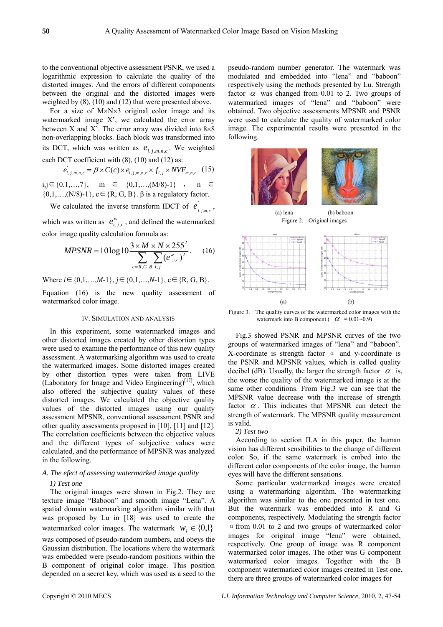to the conventional objective assessment PSNR, we used a logarithmic expression to calculate the quality of the distorted images. And the errors of different components between the original and the distorted images were weighted by (8), (10) and (12) that were presented above.

For a size of M×N×3 original color image and its watermarked image X', we calculated the error array between X and X'. The error array was divided into  $8 \times 8$ non-overlapping blocks. Each block was transformed into its DCT, which was written as  $e_{i,j,m,n,c}$ . We weighted each DCT coefficient with  $(8)$ ,  $(10)$  and  $(12)$  as:

$$
e_{i,j,m,n,c} = \beta \times C(c) \times e_{i,j,m,n,c} \times f_{i,j} \times NVF_{m,n,c} \cdot (15)
$$

i,j ∈ {0,1,…,7}, m ∈ {0,1,…,(M/8)-1}, n ∈  $\{0,1,\ldots,(N/8)-1\}, c \in \{R, G, B\}.$   $\beta$  is a regulatory factor.

We calculated the inverse transform IDCT of  $e'_{i,j,m,n}$ ,

which was written as  $e_{i,j,c}^w$ , and defined the watermarked color image quality calculation formula as:

$$
MPSNR = 10 \log 10 \frac{3 \times M \times N \times 255^2}{\sum_{c=R,G,B} \sum_{i,j} (e_{i,j,c}^{w})^2}.
$$
 (16)

Where  $i \in \{0,1,...,M-1\}$ ,  $j \in \{0,1,...,N-1\}$ ,  $c \in \{R, G, B\}$ .

Equation (16) is the new quality assessment of watermarked color image.

### IV. SIMULATION AND ANALYSIS

In this experiment, some watermarked images and other distorted images created by other distortion types were used to examine the performance of this new quality assessment. A watermarking algorithm was used to create the watermarked images. Some distorted images created by other distortion types were taken from LIVE (Laboratory for Image and Video Engineering)<sup>[17]</sup>, which also offered the subjective quality values of these distorted images. We calculated the objective quality values of the distorted images using our quality assessment MPSNR, conventional assessment PSNR and other quality assessments proposed in [10], [11] and [12]. The correlation coefficients between the objective values and the different types of subjective values were calculated, and the performance of MPSNR was analyzed in the following.

# *A. The efect of assessing watermarked image quality*

# *1) Test one*

The original images were shown in Fig.2. They are texture image "Baboon" and smooth image "Lena". A spatial domain watermarking algorithm similar with that was proposed by Lu in [18] was used to create the watermarked color images. The watermark  $w_i \in \{0,1\}$ was composed of pseudo-random numbers, and obeys the Gaussian distribution. The locations where the watermark was embedded were pseudo-random positions within the B component of original color image. This position depended on a secret key, which was used as a seed to the pseudo-random number generator. The watermark was modulated and embedded into "lena" and "baboon" respectively using the methods presented by Lu. Strength factor  $\alpha$  was changed from 0.01 to 2. Two groups of watermarked images of "lena" and "baboon" were obtained. Two objective assessments MPSNR and PSNR were used to calculate the quality of watermarked color image. The experimental results were presented in the following.



Figure 3. The quality curves of the watermarked color images with the watermark into B component.( $\alpha$  = 0.01~0.9)

Fig.3 showed PSNR and MPSNR curves of the two groups of watermarked images of "lena" and "baboon". X-coordinate is strength factor α and y-coordinate is the PSNR and MPSNR values, which is called quality decibel (dB). Usually, the larger the strength factor  $\alpha$  is, the worse the quality of the watermarked image is at the same other conditions. From Fig.3 we can see that the MPSNR value decrease with the increase of strength factor  $\alpha$ . This indicates that MPSNR can detect the strength of watermark. The MPSNR quality measurement is valid.

## *2) Test two*

According to section II.A in this paper, the human vision has different sensibilities to the change of different color. So, if the same watermark is embed into the different color components of the color image, the human eyes will have the different sensations.

Some particular watermarked images were created using a watermarking algorithm. The watermarking algorithm was similar to the one presented in test one. But the watermark was embedded into R and G components, respectively. Modulating the strength factor  $\alpha$  from 0.01 to 2 and two groups of watermarked color images for original image "lena" were obtained, respectively. One group of image was R component watermarked color images. The other was G component watermarked color images. Together with the B component watermarked color images created in Test one, there are three groups of watermarked color images for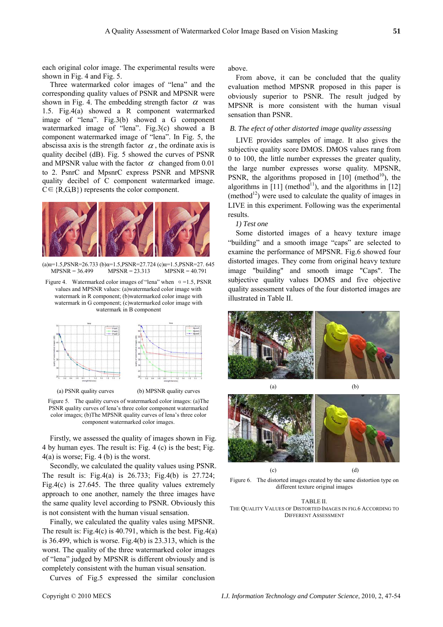each original color image. The experimental results were shown in Fig. 4 and Fig. 5.

Three watermarked color images of "lena" and the corresponding quality values of PSNR and MPSNR were shown in Fig. 4. The embedding strength factor  $\alpha$  was 1.5. Fig.4(a) showed a R component watermarked image of "lena". Fig.3(b) showed a G component watermarked image of "lena". Fig.3(c) showed a B component watermarked image of "lena". In Fig. 5, the abscissa axis is the strength factor  $\alpha$ , the ordinate axis is quality decibel (dB). Fig. 5 showed the curves of PSNR and MPSNR value with the factor  $\alpha$  changed from 0.01 to 2. PsnrC and MpsnrC express PSNR and MPSNR quality decibel of C component watermarked image.  $C \in \{R, G, B\}$ ) represents the color component.



(a) $\alpha$ =1.5,PSNR=26.733 (b) $\alpha$ =1.5,PSNR=27.724 (c) $\alpha$ =1.5,PSNR=27.645 MPSNR = 36.499 MPSNR = 23.313 MPSNR = 40.791

Figure 4. Watermarked color images of "lena" when  $\alpha = 1.5$ , PSNR values and MPSNR values: (a)watermarked color image with watermark in R component; (b)watermarked color image with watermark in G component; (c)watermarked color image with watermark in B component



Figure 5. The quality curves of watermarked color images: (a)The PSNR quality curves of lena's three color component watermarked color images; (b)The MPSNR quality curves of lena's three color component watermarked color images.

Firstly, we assessed the quality of images shown in Fig. 4 by human eyes. The result is: Fig. 4 (c) is the best; Fig. 4(a) is worse; Fig. 4 (b) is the worst.

Secondly, we calculated the quality values using PSNR. The result is: Fig.4(a) is 26.733; Fig.4(b) is 27.724; Fig.4(c) is 27.645. The three quality values extremely approach to one another, namely the three images have the same quality level according to PSNR. Obviously this is not consistent with the human visual sensation.

Finally, we calculated the quality vales using MPSNR. The result is: Fig.4(c) is 40.791, which is the best. Fig.4(a) is 36.499, which is worse. Fig.4(b) is 23.313, which is the worst. The quality of the three watermarked color images of "lena" judged by MPSNR is different obviously and is completely consistent with the human visual sensation.

Curves of Fig.5 expressed the similar conclusion

above.

From above, it can be concluded that the quality evaluation method MPSNR proposed in this paper is obviously superior to PSNR. The result judged by MPSNR is more consistent with the human visual sensation than PSNR.

# *B. The efect of other distorted image quality assessing*

LIVE provides samples of image. It also gives the subjective quality score DMOS. DMOS values rang from 0 to 100, the little number expresses the greater quality, the large number expresses worse quality. MPSNR, PSNR, the algorithms proposed in  $[10]$  (method<sup>10</sup>), the algorithms in  $[11]$  (method<sup>11</sup>), and the algorithms in  $[12]$ (method<sup>12</sup>) were used to calculate the quality of images in LIVE in this experiment. Following was the experimental results.

*1) Test one* 

Some distorted images of a heavy texture image "building" and a smooth image "caps" are selected to examine the performance of MPSNR. Fig.6 showed four distorted images. They come from original heavy texture image "building" and smooth image "Caps". The subjective quality values DOMS and five objective quality assessment values of the four distorted images are illustrated in Table II.





Figure 6. The distorted images created by the same distortion type on different texture original images

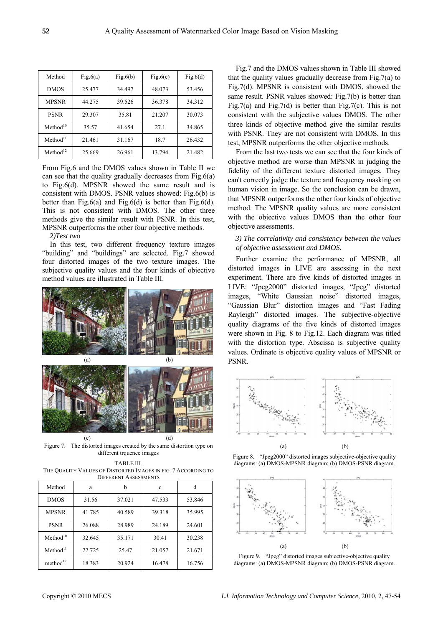| Method               | Fig.6(a) | Fig.6(b) | Fig.6(c) | Fig. $6(d)$ |
|----------------------|----------|----------|----------|-------------|
| <b>DMOS</b>          | 25.477   | 34.497   | 48.073   | 53.456      |
| <b>MPSNR</b>         | 44.275   | 39.526   | 36.378   | 34.312      |
| <b>PSNR</b>          | 29.307   | 35.81    | 21.207   | 30.073      |
| Method <sup>10</sup> | 35.57    | 41.654   | 27.1     | 34.865      |
| Method <sup>11</sup> | 21.461   | 31.167   | 18.7     | 26.432      |
| Method <sup>12</sup> | 25.669   | 26.961   | 13.794   | 21.482      |

From Fig.6 and the DMOS values shown in Table II we can see that the quality gradually decreases from Fig. $6(a)$ to Fig.6(d). MPSNR showed the same result and is consistent with DMOS. PSNR values showed: Fig.6(b) is better than Fig.6(a) and Fig.6(d) is better than Fig.6(d). This is not consistent with DMOS. The other three methods give the similar result with PSNR. In this test, MPSNR outperforms the other four objective methods.

*2)Test two* 

In this test, two different frequency texture images "building" and "buildings" are selected. Fig.7 showed four distorted images of the two texture images. The subjective quality values and the four kinds of objective method values are illustrated in Table III.



Figure 7. The distorted images created by the same distortion type on different trquence images

TABLE III. THE QUALITY VALUES OF DISTORTED IMAGES IN FIG. 7 ACCORDING TO DIFFERENT ASSESSMENTS

| Method               | a      | b      | c      |        |  |  |  |
|----------------------|--------|--------|--------|--------|--|--|--|
| <b>DMOS</b>          | 31.56  | 37.021 | 47.533 | 53.846 |  |  |  |
| <b>MPSNR</b>         | 41.785 | 40.589 | 39.318 | 35.995 |  |  |  |
| <b>PSNR</b>          | 26.088 | 28.989 | 24.189 | 24.601 |  |  |  |
| Method <sup>10</sup> | 32.645 | 35.171 | 30.41  | 30.238 |  |  |  |
| Method <sup>11</sup> | 22.725 | 25.47  | 21.057 | 21.671 |  |  |  |
| method <sup>12</sup> | 18.383 | 20.924 | 16.478 | 16.756 |  |  |  |

Fig.7 and the DMOS values shown in Table III showed that the quality values gradually decrease from Fig.7(a) to Fig.7(d). MPSNR is consistent with DMOS, showed the same result. PSNR values showed: Fig.7(b) is better than Fig.7(a) and Fig.7(d) is better than Fig.7(c). This is not consistent with the subjective values DMOS. The other three kinds of objective method give the similar results with PSNR. They are not consistent with DMOS. In this test, MPSNR outperforms the other objective methods.

From the last two tests we can see that the four kinds of objective method are worse than MPSNR in judging the fidelity of the different texture distorted images. They can't correctly judge the texture and frequency masking on human vision in image. So the conclusion can be drawn, that MPSNR outperforms the other four kinds of objective method. The MPSNR quality values are more consistent with the objective values DMOS than the other four objective assessments.

# *3) The correlativity and consistency between the values of objective assessment and DMOS.*

Further examine the performance of MPSNR, all distorted images in LIVE are assessing in the next experiment. There are five kinds of distorted images in LIVE: "Jpeg2000" distorted images, "Jpeg" distorted images, "White Gaussian noise" distorted images, "Gaussian Blur" distortion images and "Fast Fading Rayleigh" distorted images. The subjective-objective quality diagrams of the five kinds of distorted images were shown in Fig. 8 to Fig.12. Each diagram was titled with the distortion type. Abscissa is subjective quality values. Ordinate is objective quality values of MPSNR or PSNR.







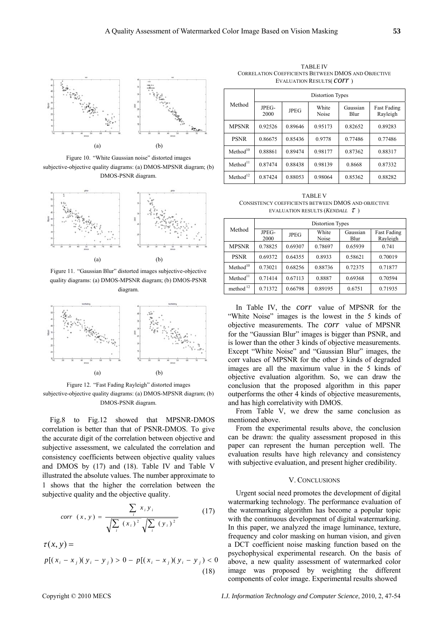

Figure 10. "White Gaussian noise" distorted images subjective-objective quality diagrams: (a) DMOS-MPSNR diagram; (b) DMOS-PSNR diagram.



Figure 11. "Gaussian Blur" distorted images subjective-objective quality diagrams: (a) DMOS-MPSNR diagram; (b) DMOS-PSNR diagram.



Figure 12. "Fast Fading Rayleigh" distorted images subjective-objective quality diagrams: (a) DMOS-MPSNR diagram; (b) DMOS-PSNR diagram.

Fig.8 to Fig.12 showed that MPSNR-DMOS correlation is better than that of PSNR-DMOS. To give the accurate digit of the correlation between objective and subjective assessment, we calculated the correlation and consistency coefficients between objective quality values and DMOS by (17) and (18). Table IV and Table V illustrated the absolute values. The number approximate to 1 shows that the higher the correlation between the subjective quality and the objective quality.

$$
corr(x, y) = \frac{\sum_{i} x_{i} y_{i}}{\sqrt{\sum_{i} (x_{i})^{2}} \sqrt{\sum_{i} (y_{i})^{2}}}
$$
(17)

 $\tau(x, y) =$  $p[(x_i - x_j)(y_i - y_j) > 0 - p[(x_i - x_j)(y_i - y_j) < 0]$ (18)

TABLE IV CORRELATION COEFFICIENTS BETWEEN DMOS AND OBJECTIVE EVALUATION RESULTS( *corr* )

| Method               | <b>Distortion Types</b> |             |                |                  |                                |  |
|----------------------|-------------------------|-------------|----------------|------------------|--------------------------------|--|
|                      | JPEG-<br>2000           | <b>JPEG</b> | White<br>Noise | Gaussian<br>Blur | <b>Fast Fading</b><br>Rayleigh |  |
| <b>MPSNR</b>         | 0.92526                 | 0.89646     | 0.95173        | 0.82652          | 0.89283                        |  |
| <b>PSNR</b>          | 0.86675                 | 0.85436     | 0.9778         | 0.77486          | 0.77486                        |  |
| Method <sup>10</sup> | 0.88861                 | 0.89474     | 0.98177        | 0.87362          | 0.88317                        |  |
| Method <sup>11</sup> | 0.87474                 | 0.88438     | 0.98139        | 0.8668           | 0.87332                        |  |
| Method <sup>12</sup> | 0.87424                 | 0.88053     | 0.98064        | 0.85362          | 0.88282                        |  |

TABLE V CONSISTENCY COEFFICIENTS BETWEEN DMOS AND OBJECTIVE EVALUATION RESULTS (*KENDALL* τ )

| Method               | <b>Distortion Types</b> |             |                |                  |                                |  |
|----------------------|-------------------------|-------------|----------------|------------------|--------------------------------|--|
|                      | JPEG-<br>2000           | <b>JPEG</b> | White<br>Noise | Gaussian<br>Blur | <b>Fast Fading</b><br>Rayleigh |  |
| <b>MPSNR</b>         | 0.78825                 | 0.69307     | 0.78697        | 0.65939          | 0.741                          |  |
| <b>PSNR</b>          | 0.69372                 | 0.64355     | 0.8933         | 0.58621          | 0.70019                        |  |
| Method <sup>10</sup> | 0.73021                 | 0.68256     | 0.88736        | 0.72375          | 0.71877                        |  |
| Method <sup>11</sup> | 0.71414                 | 0.67113     | 0.8887         | 0.69368          | 0.70594                        |  |
| method $12$          | 0.71372                 | 0.66798     | 0.89195        | 0.6751           | 0.71935                        |  |

In Table IV, the *corr* value of MPSNR for the "White Noise" images is the lowest in the 5 kinds of objective measurements. The *corr* value of MPSNR for the "Gaussian Blur" images is bigger than PSNR, and is lower than the other 3 kinds of objective measurements. Except "White Noise" and "Gaussian Blur" images, the corr values of MPSNR for the other 3 kinds of degraded images are all the maximum value in the 5 kinds of objective evaluation algorithm. So, we can draw the conclusion that the proposed algorithm in this paper outperforms the other 4 kinds of objective measurements, and has high correlativity with DMOS.

From Table V, we drew the same conclusion as mentioned above.

From the experimental results above, the conclusion can be drawn: the quality assessment proposed in this paper can represent the human perception well. The evaluation results have high relevancy and consistency with subjective evaluation, and present higher credibility.

# V. CONCLUSIONS

Urgent social need promotes the development of digital watermarking technology. The performance evaluation of the watermarking algorithm has become a popular topic with the continuous development of digital watermarking. In this paper, we analyzed the image luminance, texture, frequency and color masking on human vision, and given a DCT coefficient noise masking function based on the psychophysical experimental research. On the basis of above, a new quality assessment of watermarked color image was proposed by weighting the different components of color image. Experimental results showed